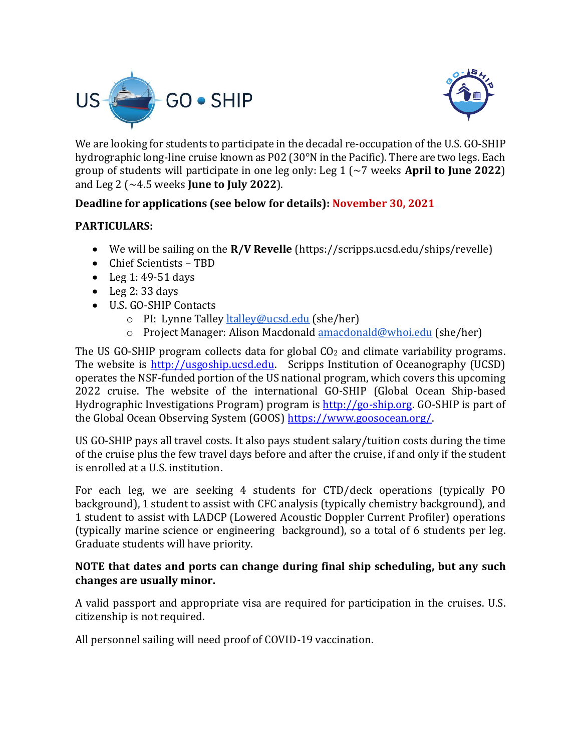



We are looking for students to participate in the decadal re-occupation of the U.S. GO-SHIP hydrographic long-line cruise known as P02 (30°N in the Pacific). There are two legs. Each group of students will participate in one leg only: Leg 1 (~7 weeks **April to June 2022**) and Leg 2 (~4.5 weeks **June to July 2022**).

## **Deadline for applications (see below for details): November 30, 2021**

## **PARTICULARS:**

- We will be sailing on the **R/V Revelle** (https://scripps.ucsd.edu/ships/revelle)
- Chief Scientists TBD
- Leg 1: 49-51 days
- $\bullet$  Leg 2:33 days
- U.S. GO-SHIP Contacts
	- o PI: Lynne Talley [ltalley@ucsd.edu](mailto:ltalley@ucsd.edu) (she/her)
	- o Project Manager: Alison Macdonald [amacdonald@whoi.edu](mailto:amacdonald@whoi.edu) (she/her)

The US GO-SHIP program collects data for global CO<sub>2</sub> and climate variability programs. The website is [http://usgoship.ucsd.edu.](http://usgoship.ucsd.edu/) Scripps Institution of Oceanography (UCSD) operates the NSF-funded portion of the US national program, which covers this upcoming 2022 cruise. The website of the international GO-SHIP (Global Ocean Ship-based Hydrographic Investigations Program) program is [http://go-ship.org.](http://go-ship.org/) GO-SHIP is part of the Global Ocean Observing System (GOOS) https://www.goosocean.org/

US GO-SHIP pays all travel costs. It also pays student salary/tuition costs during the time of the cruise plus the few travel days before and after the cruise, if and only if the student is enrolled at a U.S. institution.

For each leg, we are seeking 4 students for CTD/deck operations (typically PO background), 1 student to assist with CFC analysis (typically chemistry background), and 1 student to assist with LADCP (Lowered Acoustic Doppler Current Profiler) operations (typically marine science or engineering background), so a total of 6 students per leg. Graduate students will have priority.

## **NOTE that dates and ports can change during final ship scheduling, but any such changes are usually minor.**

A valid passport and appropriate visa are required for participation in the cruises. U.S. citizenship is not required.

All personnel sailing will need proof of COVID-19 vaccination.